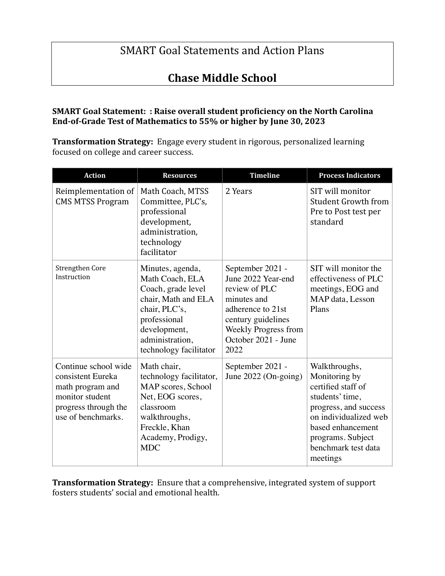# **SMART** Goal Statements and Action Plans

# **Chase Middle School**

### **SMART Goal Statement: : Raise overall student proficiency on the North Carolina** End-of-Grade Test of Mathematics to 55% or higher by June 30, 2023

**Transformation Strategy:** Engage every student in rigorous, personalized learning focused on college and career success.

| <b>Action</b>                                                                                                                  | <b>Resources</b>                                                                                                                                                               | <b>Timeline</b>                                                                                                                                                          | <b>Process Indicators</b>                                                                                                                                                                              |
|--------------------------------------------------------------------------------------------------------------------------------|--------------------------------------------------------------------------------------------------------------------------------------------------------------------------------|--------------------------------------------------------------------------------------------------------------------------------------------------------------------------|--------------------------------------------------------------------------------------------------------------------------------------------------------------------------------------------------------|
| Reimplementation of<br><b>CMS MTSS Program</b>                                                                                 | Math Coach, MTSS<br>Committee, PLC's,<br>professional<br>development,<br>administration,<br>technology<br>facilitator                                                          | 2 Years                                                                                                                                                                  | SIT will monitor<br><b>Student Growth from</b><br>Pre to Post test per<br>standard                                                                                                                     |
| Strengthen Core<br>Instruction                                                                                                 | Minutes, agenda,<br>Math Coach, ELA<br>Coach, grade level<br>chair, Math and ELA<br>chair, PLC's,<br>professional<br>development,<br>administration,<br>technology facilitator | September 2021 -<br>June 2022 Year-end<br>review of PLC<br>minutes and<br>adherence to 21st<br>century guidelines<br>Weekly Progress from<br>October 2021 - June<br>2022 | SIT will monitor the<br>effectiveness of PLC<br>meetings, EOG and<br>MAP data, Lesson<br>Plans                                                                                                         |
| Continue school wide<br>consistent Eureka<br>math program and<br>monitor student<br>progress through the<br>use of benchmarks. | Math chair,<br>technology facilitator,<br>MAP scores, School<br>Net, EOG scores,<br>classroom<br>walkthroughs,<br>Freckle, Khan<br>Academy, Prodigy,<br><b>MDC</b>             | September 2021 -<br>June $2022$ (On-going)                                                                                                                               | Walkthroughs,<br>Monitoring by<br>certified staff of<br>students' time,<br>progress, and success<br>on individualized web<br>based enhancement<br>programs. Subject<br>benchmark test data<br>meetings |

**Transformation Strategy:** Ensure that a comprehensive, integrated system of support fosters students' social and emotional health.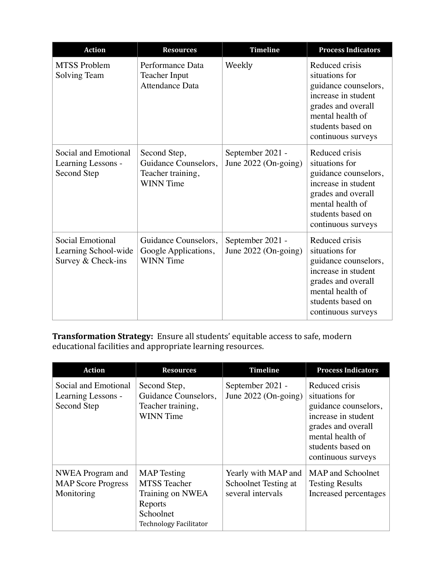| <b>Action</b>                                                  | <b>Resources</b>                                                              | <b>Timeline</b>                            | <b>Process Indicators</b>                                                                                                                                            |
|----------------------------------------------------------------|-------------------------------------------------------------------------------|--------------------------------------------|----------------------------------------------------------------------------------------------------------------------------------------------------------------------|
| <b>MTSS Problem</b><br>Solving Team                            | Performance Data<br><b>Teacher Input</b><br><b>Attendance Data</b>            | Weekly                                     | Reduced crisis<br>situations for<br>guidance counselors,<br>increase in student<br>grades and overall<br>mental health of<br>students based on<br>continuous surveys |
| Social and Emotional<br>Learning Lessons -<br>Second Step      | Second Step,<br>Guidance Counselors,<br>Teacher training,<br><b>WINN</b> Time | September 2021 -<br>June $2022$ (On-going) | Reduced crisis<br>situations for<br>guidance counselors,<br>increase in student<br>grades and overall<br>mental health of<br>students based on<br>continuous surveys |
| Social Emotional<br>Learning School-wide<br>Survey & Check-ins | Guidance Counselors,<br>Google Applications,<br><b>WINN</b> Time              | September 2021 -<br>June $2022$ (On-going) | Reduced crisis<br>situations for<br>guidance counselors,<br>increase in student<br>grades and overall<br>mental health of<br>students based on<br>continuous surveys |

**Transformation Strategy:** Ensure all students' equitable access to safe, modern educational facilities and appropriate learning resources.

| <b>Action</b>                                               | <b>Resources</b>                                                                                                       | <b>Timeline</b>                                                  | <b>Process Indicators</b>                                                                                                                                            |
|-------------------------------------------------------------|------------------------------------------------------------------------------------------------------------------------|------------------------------------------------------------------|----------------------------------------------------------------------------------------------------------------------------------------------------------------------|
| Social and Emotional<br>Learning Lessons -<br>Second Step   | Second Step,<br>Guidance Counselors,<br>Teacher training,<br><b>WINN</b> Time                                          | September 2021 -<br>June $2022$ (On-going)                       | Reduced crisis<br>situations for<br>guidance counselors,<br>increase in student<br>grades and overall<br>mental health of<br>students based on<br>continuous surveys |
| NWEA Program and<br><b>MAP</b> Score Progress<br>Monitoring | <b>MAP</b> Testing<br><b>MTSS</b> Teacher<br>Training on NWEA<br>Reports<br>Schoolnet<br><b>Technology Facilitator</b> | Yearly with MAP and<br>Schoolnet Testing at<br>several intervals | MAP and Schoolnet<br><b>Testing Results</b><br>Increased percentages                                                                                                 |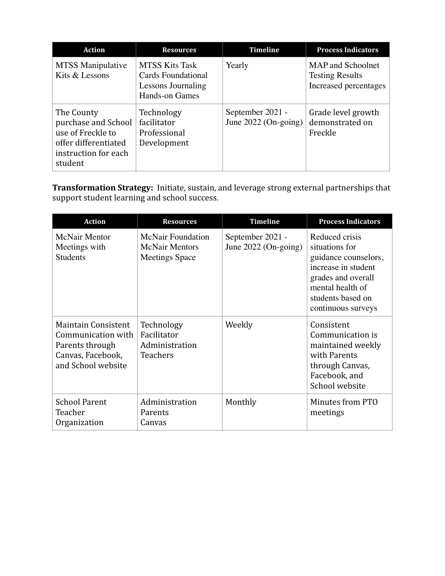| <b>Action</b>                                                                                                     | <b>Resources</b>                                                                    | <b>Timeline</b>                            | <b>Process Indicators</b>                                                   |
|-------------------------------------------------------------------------------------------------------------------|-------------------------------------------------------------------------------------|--------------------------------------------|-----------------------------------------------------------------------------|
| <b>MTSS</b> Manipulative<br>Kits & Lessons                                                                        | <b>MTSS Kits Task</b><br>Cards Foundational<br>Lessons Journaling<br>Hands-on Games | Yearly                                     | <b>MAP</b> and Schoolnet<br><b>Testing Results</b><br>Increased percentages |
| The County<br>purchase and School<br>use of Freckle to<br>offer differentiated<br>instruction for each<br>student | Technology<br>facilitator<br>Professional<br>Development                            | September 2021 -<br>June $2022$ (On-going) | Grade level growth<br>demonstrated on<br>Freckle                            |

Transformation Strategy: Initiate, sustain, and leverage strong external partnerships that support student learning and school success.

| <b>Action</b>                                                                                                  | <b>Resources</b>                                                           | <b>Timeline</b>                            | <b>Process Indicators</b>                                                                                                                                            |
|----------------------------------------------------------------------------------------------------------------|----------------------------------------------------------------------------|--------------------------------------------|----------------------------------------------------------------------------------------------------------------------------------------------------------------------|
| <b>McNair Mentor</b><br>Meetings with<br><b>Students</b>                                                       | <b>McNair Foundation</b><br><b>McNair Mentors</b><br><b>Meetings Space</b> | September 2021 -<br>June $2022$ (On-going) | Reduced crisis<br>situations for<br>guidance counselors,<br>increase in student<br>grades and overall<br>mental health of<br>students based on<br>continuous surveys |
| <b>Maintain Consistent</b><br>Communication with<br>Parents through<br>Canvas, Facebook,<br>and School website | Technology<br>Facilitator<br>Administration<br><b>Teachers</b>             | Weekly                                     | Consistent<br>Communication is<br>maintained weekly<br>with Parents<br>through Canvas,<br>Facebook, and<br>School website                                            |
| <b>School Parent</b><br>Teacher<br>Organization                                                                | Administration<br>Parents<br>Canvas                                        | Monthly                                    | Minutes from PTO<br>meetings                                                                                                                                         |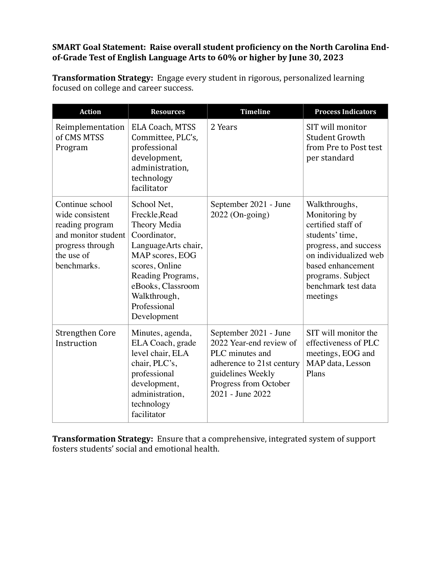## **SMART Goal Statement: Raise overall student proficiency on the North Carolina End**of-Grade Test of English Language Arts to 60% or higher by June 30, 2023

**Transformation Strategy:** Engage every student in rigorous, personalized learning focused on college and career success.

| <b>Action</b>                                                                                                                 | <b>Resources</b>                                                                                                                                                                                                  | <b>Timeline</b>                                                                                                                                                    | <b>Process Indicators</b>                                                                                                                                                                              |
|-------------------------------------------------------------------------------------------------------------------------------|-------------------------------------------------------------------------------------------------------------------------------------------------------------------------------------------------------------------|--------------------------------------------------------------------------------------------------------------------------------------------------------------------|--------------------------------------------------------------------------------------------------------------------------------------------------------------------------------------------------------|
| Reimplementation<br>of CMS MTSS<br>Program                                                                                    | <b>ELA Coach, MTSS</b><br>Committee, PLC's,<br>professional<br>development,<br>administration,<br>technology<br>facilitator                                                                                       | 2 Years                                                                                                                                                            | SIT will monitor<br><b>Student Growth</b><br>from Pre to Post test<br>per standard                                                                                                                     |
| Continue school<br>wide consistent<br>reading program<br>and monitor student<br>progress through<br>the use of<br>benchmarks. | School Net,<br>Freckle, Read<br>Theory Media<br>Coordinator,<br>LanguageArts chair,<br>MAP scores, EOG<br>scores, Online<br>Reading Programs,<br>eBooks, Classroom<br>Walkthrough,<br>Professional<br>Development | September 2021 - June<br>$2022$ (On-going)                                                                                                                         | Walkthroughs,<br>Monitoring by<br>certified staff of<br>students' time,<br>progress, and success<br>on individualized web<br>based enhancement<br>programs. Subject<br>benchmark test data<br>meetings |
| <b>Strengthen Core</b><br>Instruction                                                                                         | Minutes, agenda,<br>ELA Coach, grade<br>level chair, ELA<br>chair, PLC's,<br>professional<br>development,<br>administration,<br>technology<br>facilitator                                                         | September 2021 - June<br>2022 Year-end review of<br>PLC minutes and<br>adherence to 21st century<br>guidelines Weekly<br>Progress from October<br>2021 - June 2022 | SIT will monitor the<br>effectiveness of PLC<br>meetings, EOG and<br>MAP data, Lesson<br>Plans                                                                                                         |

**Transformation Strategy:** Ensure that a comprehensive, integrated system of support fosters students' social and emotional health.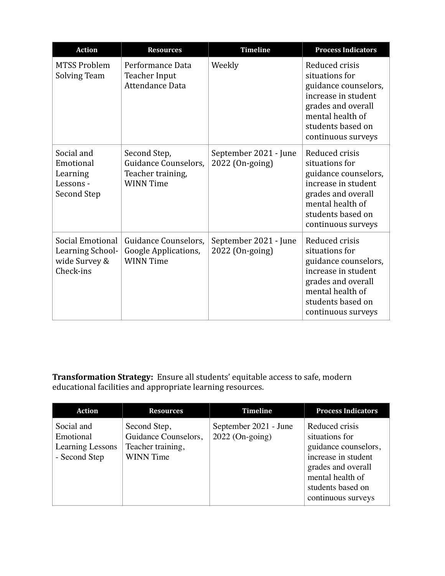| <b>Action</b>                                                      | <b>Resources</b>                                                              | <b>Timeline</b>                          | <b>Process Indicators</b>                                                                                                                                            |
|--------------------------------------------------------------------|-------------------------------------------------------------------------------|------------------------------------------|----------------------------------------------------------------------------------------------------------------------------------------------------------------------|
| <b>MTSS Problem</b><br>Solving Team                                | Performance Data<br>Teacher Input<br>Attendance Data                          | Weekly                                   | Reduced crisis<br>situations for<br>guidance counselors,<br>increase in student<br>grades and overall<br>mental health of<br>students based on<br>continuous surveys |
| Social and<br>Emotional<br>Learning<br>Lessons -<br>Second Step    | Second Step,<br>Guidance Counselors,<br>Teacher training,<br><b>WINN</b> Time | September 2021 - June<br>2022 (On-going) | Reduced crisis<br>situations for<br>guidance counselors,<br>increase in student<br>grades and overall<br>mental health of<br>students based on<br>continuous surveys |
| Social Emotional<br>Learning School-<br>wide Survey &<br>Check-ins | Guidance Counselors,<br>Google Applications,<br><b>WINN</b> Time              | September 2021 - June<br>2022 (On-going) | Reduced crisis<br>situations for<br>guidance counselors,<br>increase in student<br>grades and overall<br>mental health of<br>students based on<br>continuous surveys |

**Transformation Strategy:** Ensure all students' equitable access to safe, modern educational facilities and appropriate learning resources.

| <b>Action</b>                                                | <b>Resources</b>                                                              | Timeline                                   | <b>Process Indicators</b>                                                                                                                                            |
|--------------------------------------------------------------|-------------------------------------------------------------------------------|--------------------------------------------|----------------------------------------------------------------------------------------------------------------------------------------------------------------------|
| Social and<br>Emotional<br>Learning Lessons<br>- Second Step | Second Step,<br>Guidance Counselors,<br>Teacher training,<br><b>WINN</b> Time | September 2021 - June<br>$2022$ (On-going) | Reduced crisis<br>situations for<br>guidance counselors,<br>increase in student<br>grades and overall<br>mental health of<br>students based on<br>continuous surveys |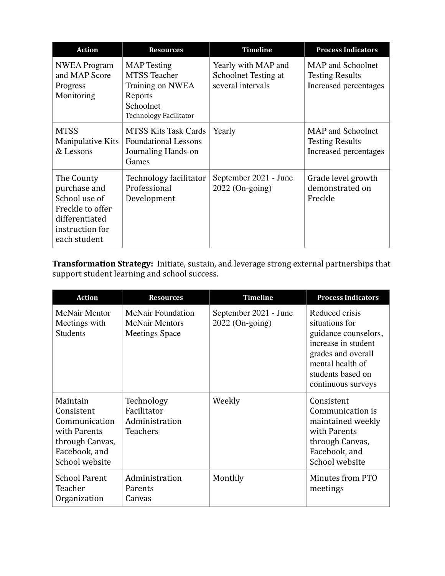| <b>Action</b>                                                                                                        | <b>Resources</b>                                                                                                       | <b>Timeline</b>                                                  | <b>Process Indicators</b>                                                   |
|----------------------------------------------------------------------------------------------------------------------|------------------------------------------------------------------------------------------------------------------------|------------------------------------------------------------------|-----------------------------------------------------------------------------|
| <b>NWEA</b> Program<br>and MAP Score<br>Progress<br>Monitoring                                                       | <b>MAP</b> Testing<br><b>MTSS</b> Teacher<br>Training on NWEA<br>Reports<br>Schoolnet<br><b>Technology Facilitator</b> | Yearly with MAP and<br>Schoolnet Testing at<br>several intervals | <b>MAP</b> and Schoolnet<br><b>Testing Results</b><br>Increased percentages |
| <b>MTSS</b><br>Manipulative Kits<br>& Lessons                                                                        | <b>MTSS Kits Task Cards</b><br><b>Foundational Lessons</b><br>Journaling Hands-on<br>Games                             | Yearly                                                           | <b>MAP</b> and Schoolnet<br><b>Testing Results</b><br>Increased percentages |
| The County<br>purchase and<br>School use of<br>Freckle to offer<br>differentiated<br>instruction for<br>each student | Technology facilitator<br>Professional<br>Development                                                                  | September 2021 - June<br>$2022$ (On-going)                       | Grade level growth<br>demonstrated on<br>Freckle                            |

**Transformation Strategy:** Initiate, sustain, and leverage strong external partnerships that support student learning and school success.

| <b>Action</b>                                                                                                 | <b>Resources</b>                                                           | <b>Timeline</b>                            | <b>Process Indicators</b>                                                                                                                                            |
|---------------------------------------------------------------------------------------------------------------|----------------------------------------------------------------------------|--------------------------------------------|----------------------------------------------------------------------------------------------------------------------------------------------------------------------|
| <b>McNair Mentor</b><br>Meetings with<br><b>Students</b>                                                      | <b>McNair Foundation</b><br><b>McNair Mentors</b><br><b>Meetings Space</b> | September 2021 - June<br>$2022$ (On-going) | Reduced crisis<br>situations for<br>guidance counselors,<br>increase in student<br>grades and overall<br>mental health of<br>students based on<br>continuous surveys |
| Maintain<br>Consistent<br>Communication<br>with Parents<br>through Canvas,<br>Facebook, and<br>School website | Technology<br>Facilitator<br>Administration<br><b>Teachers</b>             | Weekly                                     | Consistent<br>Communication is<br>maintained weekly<br>with Parents<br>through Canvas,<br>Facebook, and<br>School website                                            |
| <b>School Parent</b><br>Teacher<br>Organization                                                               | Administration<br><b>Parents</b><br>Canvas                                 | Monthly                                    | Minutes from PTO<br>meetings                                                                                                                                         |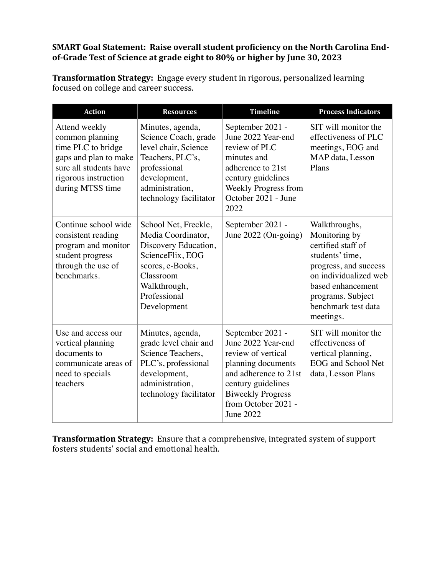## **SMART Goal Statement: Raise overall student proficiency on the North Carolina End**of-Grade Test of Science at grade eight to 80% or higher by June 30, 2023

**Transformation Strategy:** Engage every student in rigorous, personalized learning focused on college and career success.

| <b>Action</b>                                                                                                                                         | <b>Resources</b>                                                                                                                                                       | <b>Timeline</b>                                                                                                                                                                                   | <b>Process Indicators</b>                                                                                                                                                                               |
|-------------------------------------------------------------------------------------------------------------------------------------------------------|------------------------------------------------------------------------------------------------------------------------------------------------------------------------|---------------------------------------------------------------------------------------------------------------------------------------------------------------------------------------------------|---------------------------------------------------------------------------------------------------------------------------------------------------------------------------------------------------------|
| Attend weekly<br>common planning<br>time PLC to bridge<br>gaps and plan to make<br>sure all students have<br>rigorous instruction<br>during MTSS time | Minutes, agenda,<br>Science Coach, grade<br>level chair, Science<br>Teachers, PLC's,<br>professional<br>development,<br>administration,<br>technology facilitator      | September 2021 -<br>June 2022 Year-end<br>review of PLC<br>minutes and<br>adherence to 21st<br>century guidelines<br><b>Weekly Progress from</b><br>October 2021 - June<br>2022                   | SIT will monitor the<br>effectiveness of PLC<br>meetings, EOG and<br>MAP data, Lesson<br>Plans                                                                                                          |
| Continue school wide<br>consistent reading<br>program and monitor<br>student progress<br>through the use of<br>benchmarks.                            | School Net, Freckle,<br>Media Coordinator,<br>Discovery Education,<br>ScienceFlix, EOG<br>scores, e-Books,<br>Classroom<br>Walkthrough,<br>Professional<br>Development | September 2021 -<br>June $2022$ (On-going)                                                                                                                                                        | Walkthroughs,<br>Monitoring by<br>certified staff of<br>students' time,<br>progress, and success<br>on individualized web<br>based enhancement<br>programs. Subject<br>benchmark test data<br>meetings. |
| Use and access our<br>vertical planning<br>documents to<br>communicate areas of<br>need to specials<br>teachers                                       | Minutes, agenda,<br>grade level chair and<br>Science Teachers,<br>PLC's, professional<br>development,<br>administration,<br>technology facilitator                     | September 2021 -<br>June 2022 Year-end<br>review of vertical<br>planning documents<br>and adherence to 21st<br>century guidelines<br><b>Biweekly Progress</b><br>from October 2021 -<br>June 2022 | SIT will monitor the<br>effectiveness of<br>vertical planning,<br><b>EOG</b> and School Net<br>data, Lesson Plans                                                                                       |

**Transformation Strategy:** Ensure that a comprehensive, integrated system of support fosters students' social and emotional health.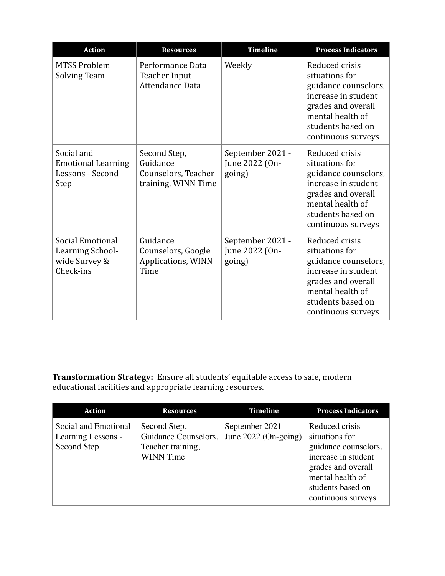| <b>Action</b>                                                       | <b>Resources</b>                                                       | <b>Timeline</b>                              | <b>Process Indicators</b>                                                                                                                                            |
|---------------------------------------------------------------------|------------------------------------------------------------------------|----------------------------------------------|----------------------------------------------------------------------------------------------------------------------------------------------------------------------|
| <b>MTSS Problem</b><br><b>Solving Team</b>                          | Performance Data<br>Teacher Input<br>Attendance Data                   | Weekly                                       | Reduced crisis<br>situations for<br>guidance counselors,<br>increase in student<br>grades and overall<br>mental health of<br>students based on<br>continuous surveys |
| Social and<br><b>Emotional Learning</b><br>Lessons - Second<br>Step | Second Step,<br>Guidance<br>Counselors, Teacher<br>training, WINN Time | September 2021 -<br>June 2022 (On-<br>going) | Reduced crisis<br>situations for<br>guidance counselors,<br>increase in student<br>grades and overall<br>mental health of<br>students based on<br>continuous surveys |
| Social Emotional<br>Learning School-<br>wide Survey &<br>Check-ins  | Guidance<br>Counselors, Google<br>Applications, WINN<br>Time           | September 2021 -<br>June 2022 (On-<br>going) | Reduced crisis<br>situations for<br>guidance counselors,<br>increase in student<br>grades and overall<br>mental health of<br>students based on<br>continuous surveys |

**Transformation Strategy:** Ensure all students' equitable access to safe, modern educational facilities and appropriate learning resources.

| <b>Action</b>                                             | <b>Resources</b>                                                              | <b>Timeline</b>                            | <b>Process Indicators</b>                                                                                                                                            |
|-----------------------------------------------------------|-------------------------------------------------------------------------------|--------------------------------------------|----------------------------------------------------------------------------------------------------------------------------------------------------------------------|
| Social and Emotional<br>Learning Lessons -<br>Second Step | Second Step,<br>Guidance Counselors,<br>Teacher training,<br><b>WINN</b> Time | September 2021 -<br>June $2022$ (On-going) | Reduced crisis<br>situations for<br>guidance counselors,<br>increase in student<br>grades and overall<br>mental health of<br>students based on<br>continuous surveys |